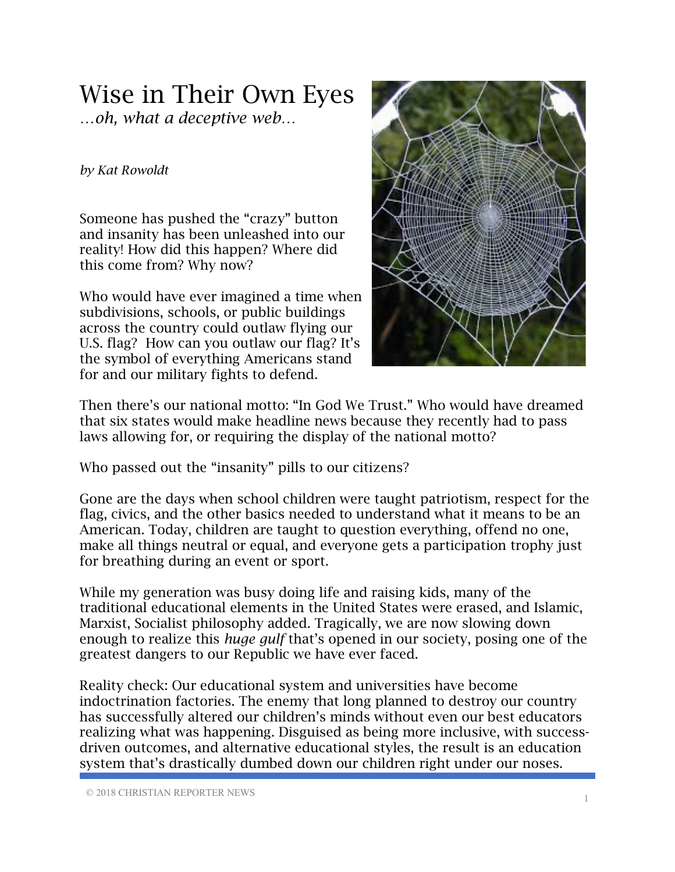## Wise in Their Own Eyes

…*oh, what a deceptive web…*

## *by Kat Rowoldt*

Someone has pushed the "crazy" button and insanity has been unleashed into our reality! How did this happen? Where did this come from? Why now?

Who would have ever imagined a time when subdivisions, schools, or public buildings across the country could outlaw flying our U.S. flag? How can you outlaw our flag? It's the symbol of everything Americans stand for and our military fights to defend.



Then there's our national motto: "In God We Trust." Who would have dreamed that six states would make headline news because they recently had to pass laws allowing for, or requiring the display of the national motto?

Who passed out the "insanity" pills to our citizens?

Gone are the days when school children were taught patriotism, respect for the flag, civics, and the other basics needed to understand what it means to be an American. Today, children are taught to question everything, offend no one, make all things neutral or equal, and everyone gets a participation trophy just for breathing during an event or sport.

While my generation was busy doing life and raising kids, many of the traditional educational elements in the United States were erased, and Islamic, Marxist, Socialist philosophy added. Tragically, we are now slowing down enough to realize this *huge gulf* that's opened in our society, posing one of the greatest dangers to our Republic we have ever faced.

Reality check: Our educational system and universities have become indoctrination factories. The enemy that long planned to destroy our country has successfully altered our children's minds without even our best educators realizing what was happening. Disguised as being more inclusive, with successdriven outcomes, and alternative educational styles, the result is an education system that's drastically dumbed down our children right under our noses.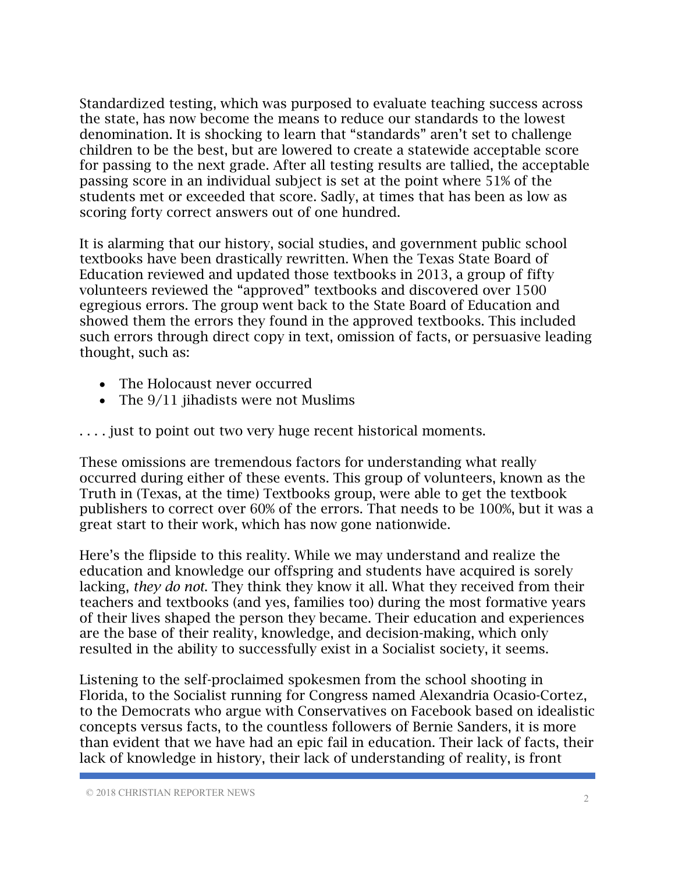Standardized testing, which was purposed to evaluate teaching success across the state, has now become the means to reduce our standards to the lowest denomination. It is shocking to learn that "standards" aren't set to challenge children to be the best, but are lowered to create a statewide acceptable score for passing to the next grade. After all testing results are tallied, the acceptable passing score in an individual subject is set at the point where 51% of the students met or exceeded that score. Sadly, at times that has been as low as scoring forty correct answers out of one hundred.

It is alarming that our history, social studies, and government public school textbooks have been drastically rewritten. When the Texas State Board of Education reviewed and updated those textbooks in 2013, a group of fifty volunteers reviewed the "approved" textbooks and discovered over 1500 egregious errors. The group went back to the State Board of Education and showed them the errors they found in the approved textbooks. This included such errors through direct copy in text, omission of facts, or persuasive leading thought, such as:

- The Holocaust never occurred
- The  $9/11$  jihadists were not Muslims

. . . . just to point out two very huge recent historical moments.

These omissions are tremendous factors for understanding what really occurred during either of these events. This group of volunteers, known as the Truth in (Texas, at the time) Textbooks group, were able to get the textbook publishers to correct over 60% of the errors. That needs to be 100%, but it was a great start to their work, which has now gone nationwide.

Here's the flipside to this reality. While we may understand and realize the education and knowledge our offspring and students have acquired is sorely lacking, *they do not*. They think they know it all. What they received from their teachers and textbooks (and yes, families too) during the most formative years of their lives shaped the person they became. Their education and experiences are the base of their reality, knowledge, and decision-making, which only resulted in the ability to successfully exist in a Socialist society, it seems.

Listening to the self-proclaimed spokesmen from the school shooting in Florida, to the Socialist running for Congress named Alexandria Ocasio-Cortez, to the Democrats who argue with Conservatives on Facebook based on idealistic concepts versus facts, to the countless followers of Bernie Sanders, it is more than evident that we have had an epic fail in education. Their lack of facts, their lack of knowledge in history, their lack of understanding of reality, is front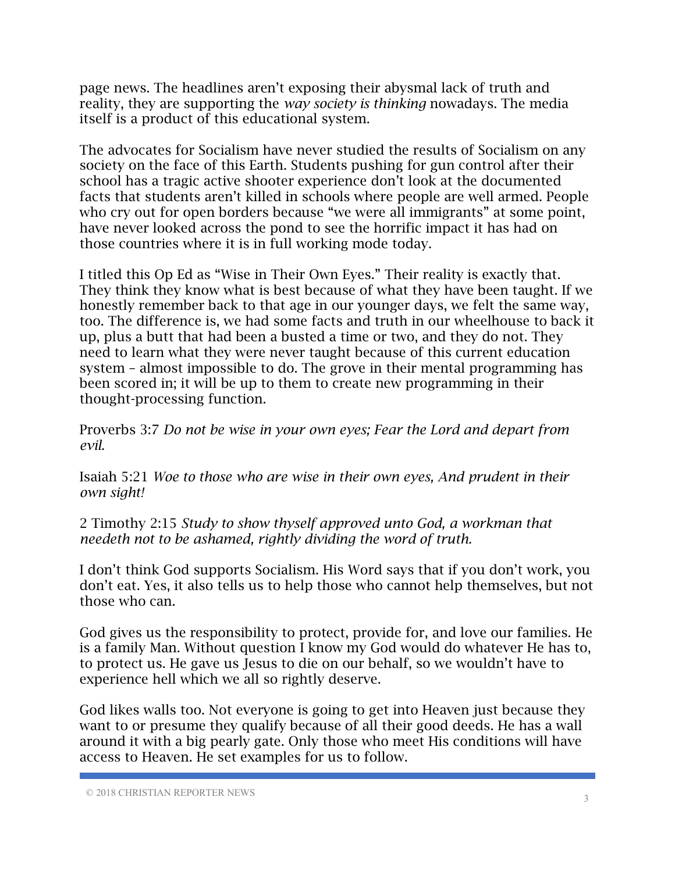page news. The headlines aren't exposing their abysmal lack of truth and reality, they are supporting the *way society is thinking* nowadays. The media itself is a product of this educational system.

The advocates for Socialism have never studied the results of Socialism on any society on the face of this Earth. Students pushing for gun control after their school has a tragic active shooter experience don't look at the documented facts that students aren't killed in schools where people are well armed. People who cry out for open borders because "we were all immigrants" at some point, have never looked across the pond to see the horrific impact it has had on those countries where it is in full working mode today.

I titled this Op Ed as "Wise in Their Own Eyes." Their reality is exactly that. They think they know what is best because of what they have been taught. If we honestly remember back to that age in our younger days, we felt the same way, too. The difference is, we had some facts and truth in our wheelhouse to back it up, plus a butt that had been a busted a time or two, and they do not. They need to learn what they were never taught because of this current education system – almost impossible to do. The grove in their mental programming has been scored in; it will be up to them to create new programming in their thought-processing function.

Proverbs 3:7 *Do not be wise in your own eyes; Fear the Lord and depart from evil.*

Isaiah 5:21 *Woe to those who are wise in their own eyes, And prudent in their own sight!*

2 Timothy 2:15 *Study to show thyself approved unto God, a workman that needeth not to be ashamed, rightly dividing the word of truth.*

I don't think God supports Socialism. His Word says that if you don't work, you don't eat. Yes, it also tells us to help those who cannot help themselves, but not those who can.

God gives us the responsibility to protect, provide for, and love our families. He is a family Man. Without question I know my God would do whatever He has to, to protect us. He gave us Jesus to die on our behalf, so we wouldn't have to experience hell which we all so rightly deserve.

God likes walls too. Not everyone is going to get into Heaven just because they want to or presume they qualify because of all their good deeds. He has a wall around it with a big pearly gate. Only those who meet His conditions will have access to Heaven. He set examples for us to follow.